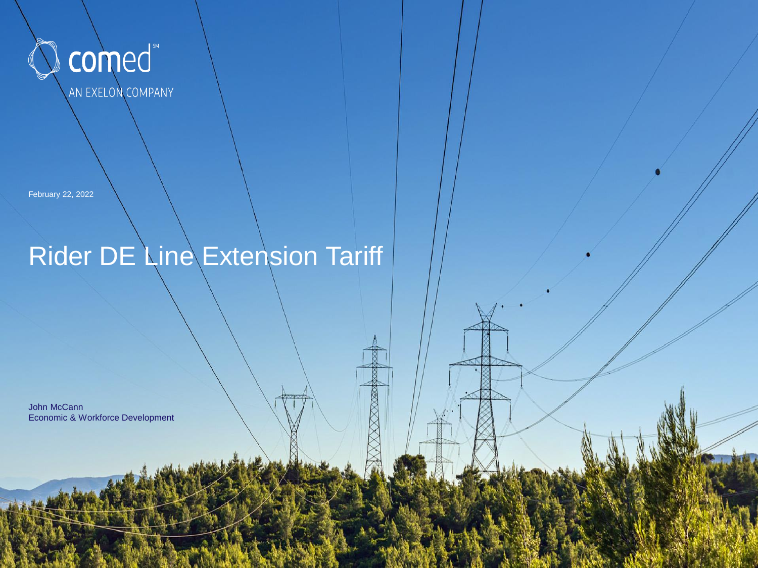

February 22, 2022

## Rider DE Line Extension Tariff

John McCann Economic & Workforce Development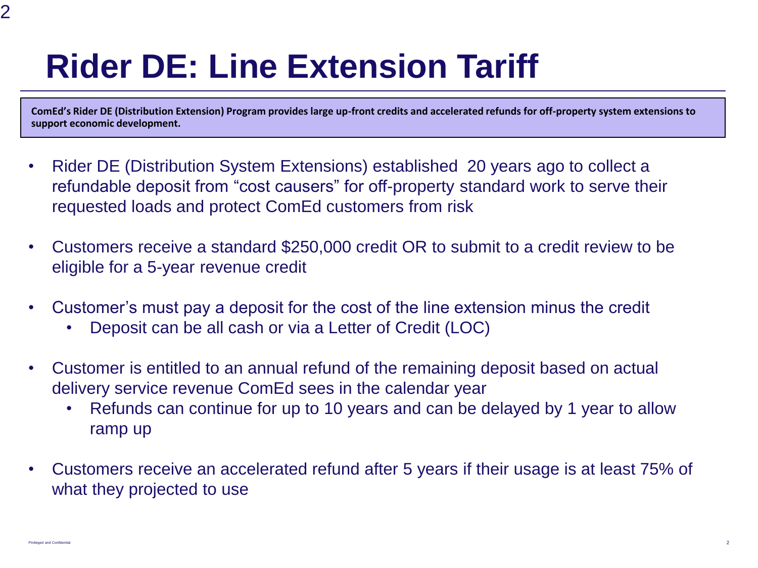## **Rider DE: Line Extension Tariff**

**ComEd's Rider DE (Distribution Extension) Program provides large up-front credits and accelerated refunds for off-property system extensions to support economic development.**

- Rider DE (Distribution System Extensions) established 20 years ago to collect a refundable deposit from "cost causers" for off-property standard work to serve their requested loads and protect ComEd customers from risk
- Customers receive a standard \$250,000 credit OR to submit to a credit review to be eligible for a 5-year revenue credit
- Customer's must pay a deposit for the cost of the line extension minus the credit
	- Deposit can be all cash or via a Letter of Credit (LOC)
- Customer is entitled to an annual refund of the remaining deposit based on actual delivery service revenue ComEd sees in the calendar year
	- Refunds can continue for up to 10 years and can be delayed by 1 year to allow ramp up
- Customers receive an accelerated refund after 5 years if their usage is at least 75% of what they projected to use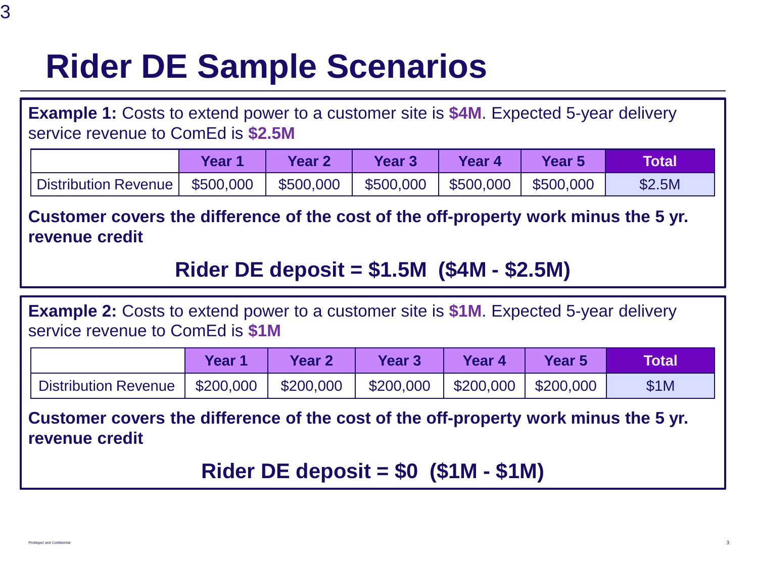## **Rider DE Sample Scenarios**

**Example 1:** Costs to extend power to a customer site is **\$4M**. Expected 5-year delivery service revenue to ComEd is **\$2.5M**

|                                  | Year 1 | Year 2    | <b>Year 3</b> | Year 4               | Year 5    | <b>Total</b> |
|----------------------------------|--------|-----------|---------------|----------------------|-----------|--------------|
| Distribution Revenue   \$500,000 |        | \$500,000 | \$500,000     | $\frac{$500,000}{ }$ | \$500,000 | \$2.5M       |

**Customer covers the difference of the cost of the off-property work minus the 5 yr. revenue credit**

**Rider DE deposit = \$1.5M (\$4M - \$2.5M)** 

**Example 2:** Costs to extend power to a customer site is **\$1M**. Expected 5-year delivery service revenue to ComEd is **\$1M**

|                             | Year 1    | <b>Year 2</b> | <b>Year 3</b> | Year 4   | Year 5    | <b>Total</b> |
|-----------------------------|-----------|---------------|---------------|----------|-----------|--------------|
| <b>Distribution Revenue</b> | \$200,000 | \$200,000     | \$200,000     | S200,000 | \$200,000 | \$1M         |

**Customer covers the difference of the cost of the off-property work minus the 5 yr. revenue credit**

**Rider DE deposit = \$0 (\$1M - \$1M)**